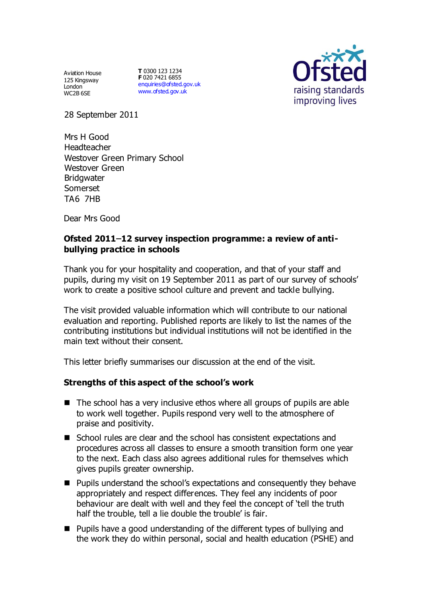Aviation House 125 Kingsway London<sup>-</sup> WC2B 6SE

**T** 0300 123 1234 **F** 020 7421 6855 [enquiries@ofsted.gov.uk](mailto:enquiries@ofsted.gov.uk) [www.ofsted.gov.uk](http://www.ofsted.gov.uk/)



28 September 2011

Mrs H Good Headteacher Westover Green Primary School Westover Green **Bridgwater** Somerset TA6 7HB

Dear Mrs Good

## Ofsted 2011–12 survey inspection programme: a review of anti**bullying practice in schools**

Thank you for your hospitality and cooperation, and that of your staff and pupils, during my visit on 19 September 2011 as part of our survey of schools' work to create a positive school culture and prevent and tackle bullying.

The visit provided valuable information which will contribute to our national evaluation and reporting. Published reports are likely to list the names of the contributing institutions but individual institutions will not be identified in the main text without their consent.

This letter briefly summarises our discussion at the end of the visit.

## **Strengths of this aspect of the school's work**

- $\blacksquare$  The school has a very inclusive ethos where all groups of pupils are able to work well together. Pupils respond very well to the atmosphere of praise and positivity.
- School rules are clear and the school has consistent expectations and procedures across all classes to ensure a smooth transition form one year to the next. Each class also agrees additional rules for themselves which gives pupils greater ownership.
- Pupils understand the school's expectations and consequently they behave appropriately and respect differences. They feel any incidents of poor behaviour are dealt with well and they feel the concept of 'tell the truth half the trouble, tell a lie double the trouble' is fair.
- Pupils have a good understanding of the different types of bullying and the work they do within personal, social and health education (PSHE) and